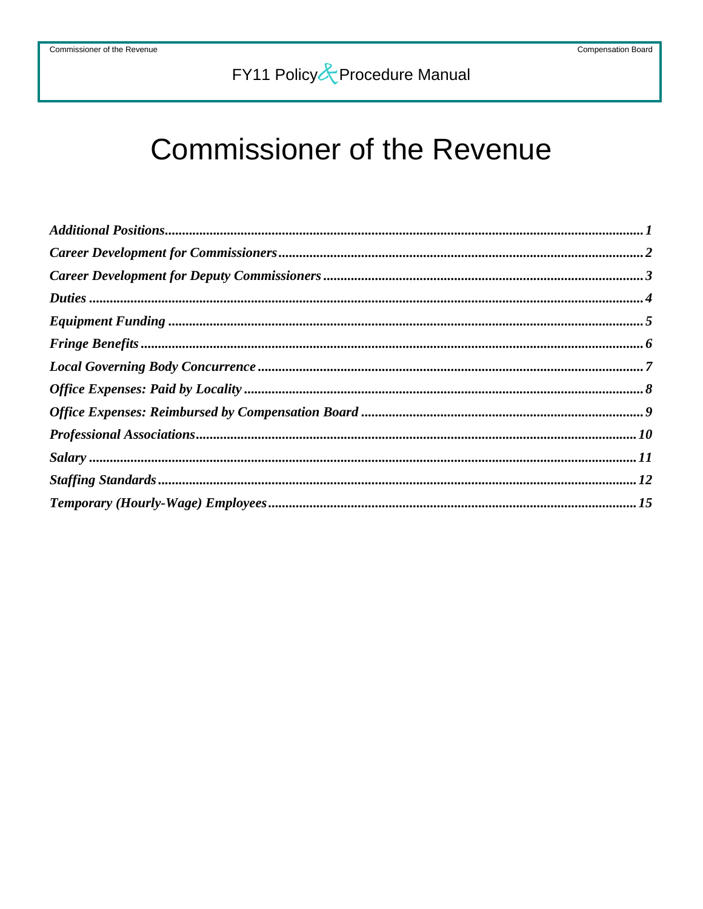# **Commissioner of the Revenue**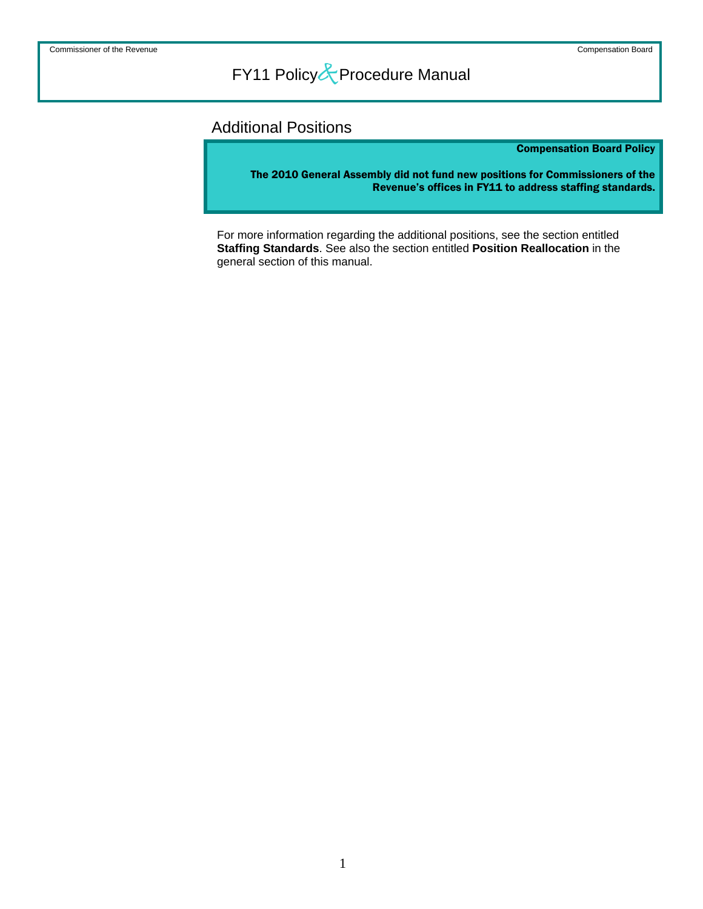### Additional Positions

### Compensation Board Policy

The 2010 General Assembly did not fund new positions for Commissioners of the Revenue's offices in FY11 to address staffing standards.

For more information regarding the additional positions, see the section entitled **Staffing Standards**. See also the section entitled **Position Reallocation** in the general section of this manual.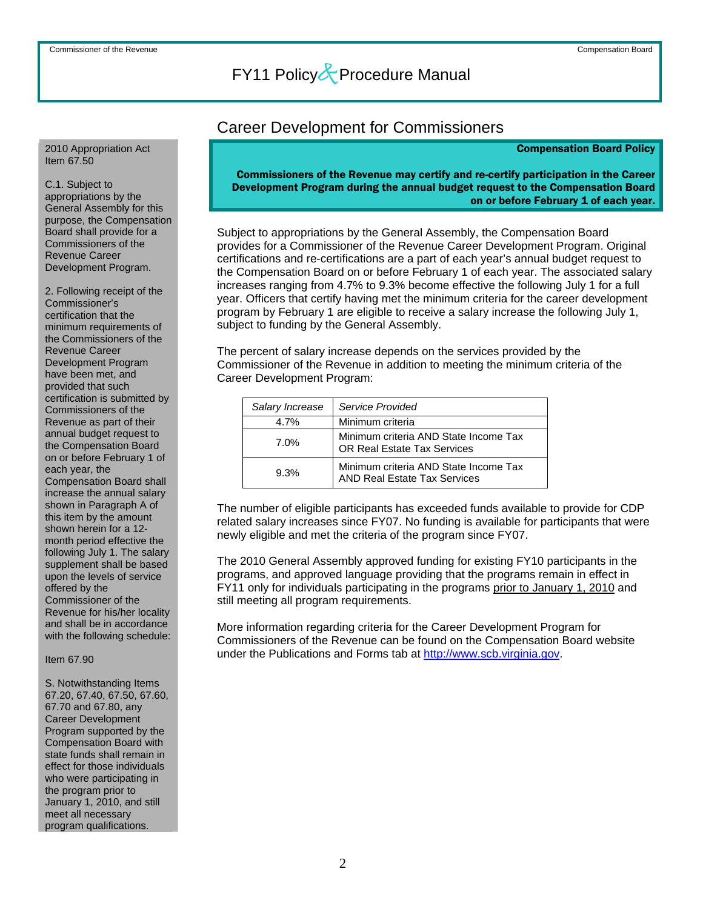#### 2010 Appropriation Act Item 67.50

C.1. Subject to appropriations by the General Assembly for this purpose, the Compensation Board shall provide for a Commissioners of the Revenue Career Development Program.

2. Following receipt of the Commissioner's certification that the minimum requirements of the Commissioners of the Revenue Career Development Program have been met, and provided that such certification is submitted by Commissioners of the Revenue as part of their annual budget request to the Compensation Board on or before February 1 of each year, the Compensation Board shall increase the annual salary shown in Paragraph A of this item by the amount shown herein for a 12 month period effective the following July 1. The salary supplement shall be based upon the levels of service offered by the Commissioner of the Revenue for his/her locality and shall be in accordance with the following schedule:

### Item 67.90

S. Notwithstanding Items 67.20, 67.40, 67.50, 67.60, 67.70 and 67.80, any Career Development Program supported by the Compensation Board with state funds shall remain in effect for those individuals who were participating in the program prior to January 1, 2010, and still meet all necessary program qualifications.

### Career Development for Commissioners

#### Compensation Board Policy

Commissioners of the Revenue may certify and re-certify participation in the Career Development Program during the annual budget request to the Compensation Board on or before February 1 of each year.

Subject to appropriations by the General Assembly, the Compensation Board provides for a Commissioner of the Revenue Career Development Program. Original certifications and re-certifications are a part of each year's annual budget request to the Compensation Board on or before February 1 of each year. The associated salary increases ranging from 4.7% to 9.3% become effective the following July 1 for a full year. Officers that certify having met the minimum criteria for the career development program by February 1 are eligible to receive a salary increase the following July 1, subject to funding by the General Assembly.

The percent of salary increase depends on the services provided by the Commissioner of the Revenue in addition to meeting the minimum criteria of the Career Development Program:

| Salary Increase | Service Provided                                                             |
|-----------------|------------------------------------------------------------------------------|
| 4.7%            | Minimum criteria                                                             |
| 7.0%            | Minimum criteria AND State Income Tax<br><b>OR Real Estate Tax Services</b>  |
| 9.3%            | Minimum criteria AND State Income Tax<br><b>AND Real Estate Tax Services</b> |

The number of eligible participants has exceeded funds available to provide for CDP related salary increases since FY07. No funding is available for participants that were newly eligible and met the criteria of the program since FY07.

The 2010 General Assembly approved funding for existing FY10 participants in the programs, and approved language providing that the programs remain in effect in FY11 only for individuals participating in the programs prior to January 1, 2010 and still meeting all program requirements.

More information regarding criteria for the Career Development Program for Commissioners of the Revenue can be found on the Compensation Board website under the Publications and Forms tab at [http://www.scb.virginia.gov.](http://www.scb.virginia.gov/)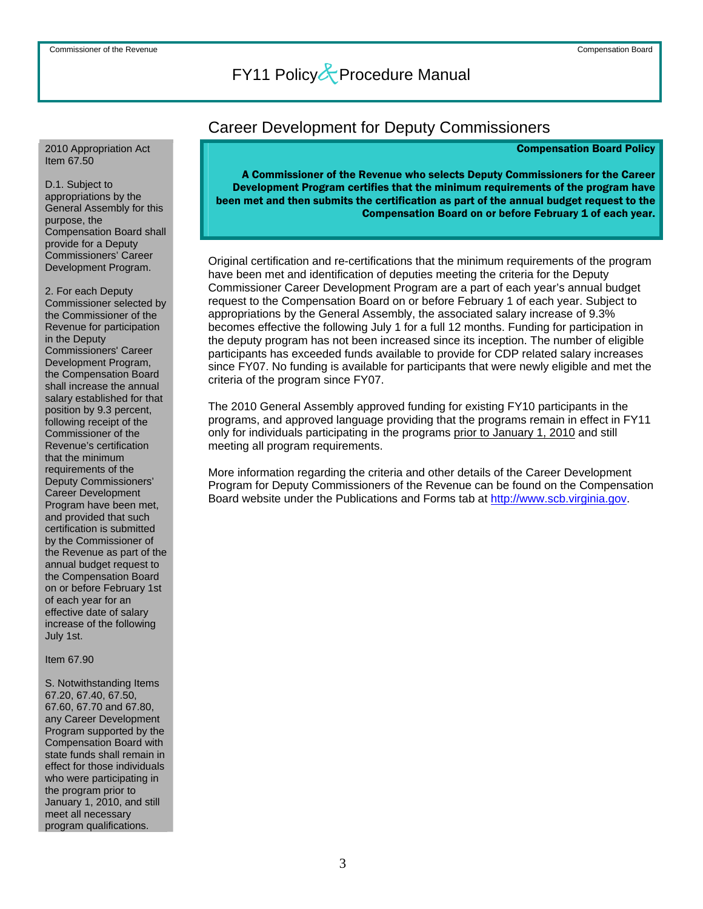#### 2010 Appropriation Act Item 67.50

D.1. Subject to appropriations by the General Assembly for this purpose, the Compensation Board shall provide for a Deputy Commissioners' Career Development Program.

2. For each Deputy Commissioner selected by the Commissioner of the Revenue for participation in the Deputy Commissioners' Career Development Program, the Compensation Board shall increase the annual salary established for that position by 9.3 percent, following receipt of the Commissioner of the Revenue's certification that the minimum requirements of the Deputy Commissioners' Career Development Program have been met, and provided that such certification is submitted by the Commissioner of the Revenue as part of the annual budget request to the Compensation Board on or before February 1st of each year for an effective date of salary increase of the following July 1st.

#### Item 67.90

S. Notwithstanding Items 67.20, 67.40, 67.50, 67.60, 67.70 and 67.80, any Career Development Program supported by the Compensation Board with state funds shall remain in effect for those individuals who were participating in the program prior to January 1, 2010, and still meet all necessary program qualifications.

### Career Development for Deputy Commissioners

#### Compensation Board Policy

A Commissioner of the Revenue who selects Deputy Commissioners for the Career Development Program certifies that the minimum requirements of the program have been met and then submits the certification as part of the annual budget request to the Compensation Board on or before February 1 of each year.

Original certification and re-certifications that the minimum requirements of the program have been met and identification of deputies meeting the criteria for the Deputy Commissioner Career Development Program are a part of each year's annual budget request to the Compensation Board on or before February 1 of each year. Subject to appropriations by the General Assembly, the associated salary increase of 9.3% becomes effective the following July 1 for a full 12 months. Funding for participation in the deputy program has not been increased since its inception. The number of eligible participants has exceeded funds available to provide for CDP related salary increases since FY07. No funding is available for participants that were newly eligible and met the criteria of the program since FY07.

The 2010 General Assembly approved funding for existing FY10 participants in the programs, and approved language providing that the programs remain in effect in FY11 only for individuals participating in the programs prior to January 1, 2010 and still meeting all program requirements.

More information regarding the criteria and other details of the Career Development Program for Deputy Commissioners of the Revenue can be found on the Compensation Board website under the Publications and Forms tab at [http://www.scb.virginia.gov.](http://www.scb.virginia.gov/)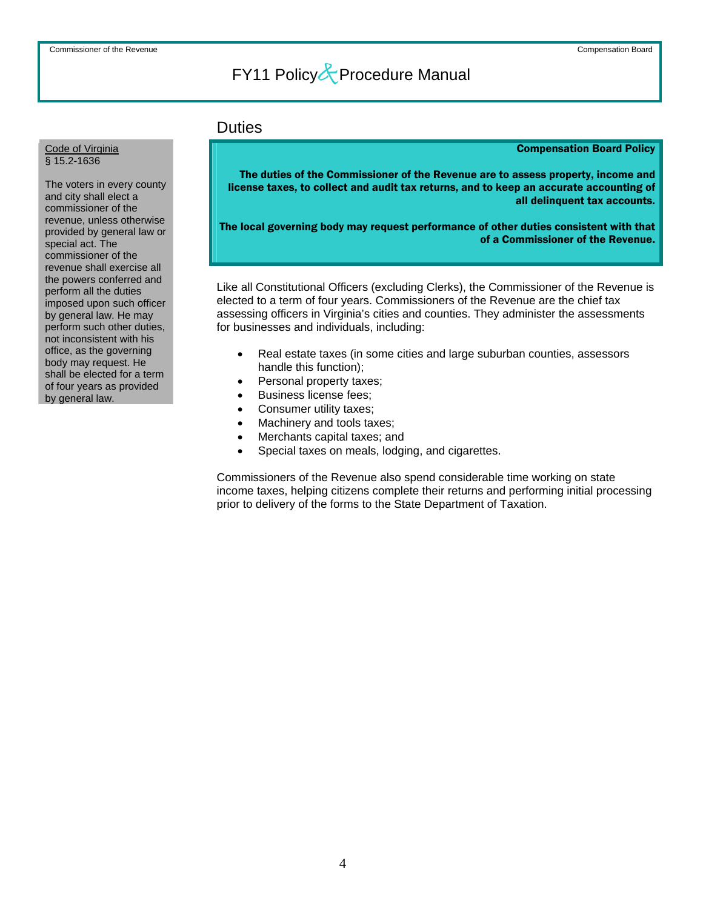### **Duties**

#### Compensation Board Policy

The duties of the Commissioner of the Revenue are to assess property, income and license taxes, to collect and audit tax returns, and to keep an accurate accounting of all delinquent tax accounts.

The local governing body may request performance of other duties consistent with that of a Commissioner of the Revenue.

Like all Constitutional Officers (excluding Clerks), the Commissioner of the Revenue is elected to a term of four years. Commissioners of the Revenue are the chief tax assessing officers in Virginia's cities and counties. They administer the assessments for businesses and individuals, including:

- Real estate taxes (in some cities and large suburban counties, assessors handle this function);
- Personal property taxes;
- Business license fees;
- Consumer utility taxes;
- Machinery and tools taxes;
- Merchants capital taxes; and
- Special taxes on meals, lodging, and cigarettes.

Commissioners of the Revenue also spend considerable time working on state income taxes, helping citizens complete their returns and performing initial processing prior to delivery of the forms to the State Department of Taxation.

### Code of Virginia § 15.2-1636

The voters in every county and city shall elect a commissioner of the revenue, unless otherwise provided by general law or special act. The commissioner of the revenue shall exercise all the powers conferred and perform all the duties imposed upon such officer by general law. He may perform such other duties, not inconsistent with his office, as the governing body may request. He shall be elected for a term of four years as provided by general law.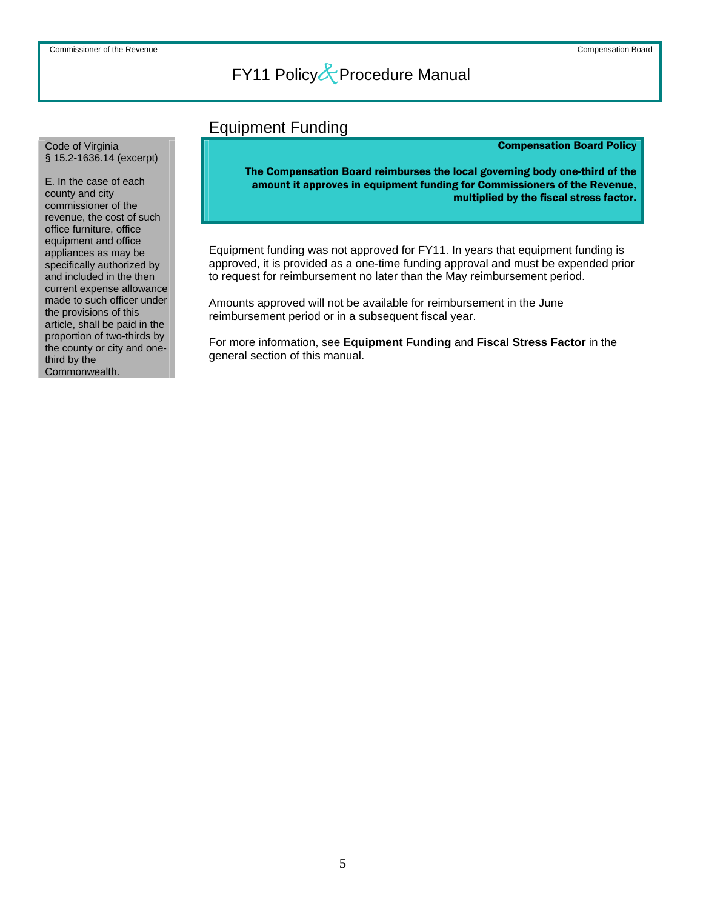### Equipment Funding

### Compensation Board Policy

The Compensation Board reimburses the local governing body one-third of the amount it approves in equipment funding for Commissioners of the Revenue, multiplied by the fiscal stress factor.

Equipment funding was not approved for FY11. In years that equipment funding is approved, it is provided as a one-time funding approval and must be expended prior to request for reimbursement no later than the May reimbursement period.

Amounts approved will not be available for reimbursement in the June reimbursement period or in a subsequent fiscal year.

For more information, see **Equipment Funding** and **Fiscal Stress Factor** in the general section of this manual.

### Code of Virginia § 15.2-1636.14 (excerpt)

E. In the case of each county and city commissioner of the revenue, the cost of such office furniture, office equipment and office appliances as may be specifically authorized by and included in the then current expense allowance made to such officer under the provisions of this article, shall be paid in the proportion of two-thirds by the county or city and onethird by the Commonwealth.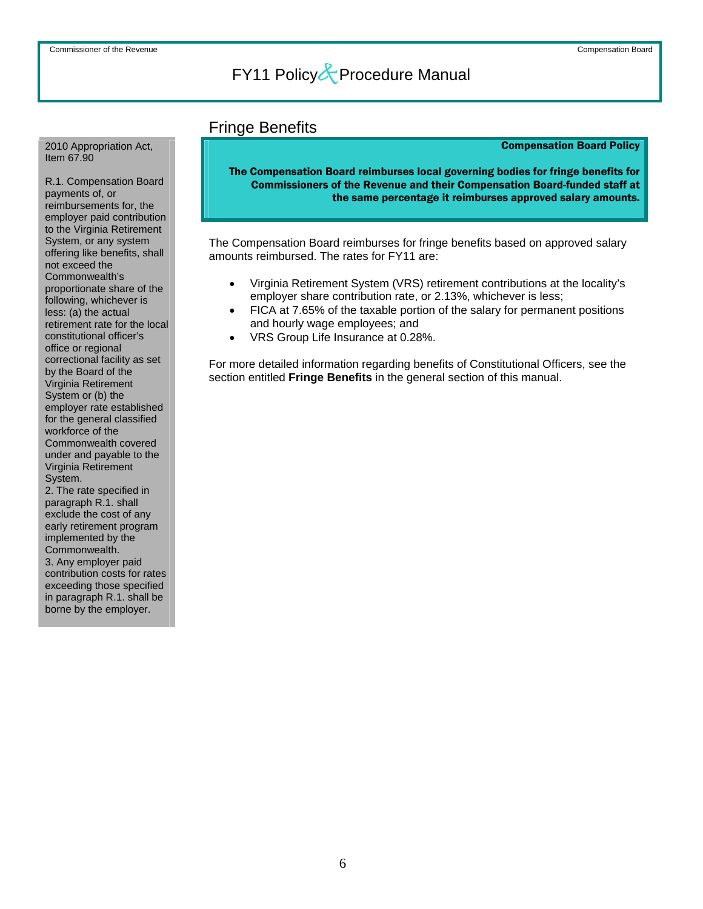### Fringe Benefits

### Compensation Board Policy

The Compensation Board reimburses local governing bodies for fringe benefits for Commissioners of the Revenue and their Compensation Board-funded staff at the same percentage it reimburses approved salary amounts.

The Compensation Board reimburses for fringe benefits based on approved salary amounts reimbursed. The rates for FY11 are:

- Virginia Retirement System (VRS) retirement contributions at the locality's employer share contribution rate, or 2.13%, whichever is less;
- FICA at 7.65% of the taxable portion of the salary for permanent positions and hourly wage employees; and
- VRS Group Life Insurance at 0.28%.

For more detailed information regarding benefits of Constitutional Officers, see the section entitled **Fringe Benefits** in the general section of this manual.

2010 Appropriation Act, Item 67.90

R.1. Compensation Board payments of, or reimbursements for, the employer paid contribution to the Virginia Retirement System, or any system offering like benefits, shall not exceed the Commonwealth's proportionate share of the following, whichever is less: (a) the actual retirement rate for the local constitutional officer's office or regional correctional facility as set by the Board of the Virginia Retirement System or (b) the employer rate established for the general classified workforce of the Commonwealth covered under and payable to the Virginia Retirement System.

2. The rate specified in paragraph R.1. shall exclude the cost of any early retirement program implemented by the Commonwealth. 3. Any employer paid contribution costs for rates exceeding those specified in paragraph R.1. shall be borne by the employer.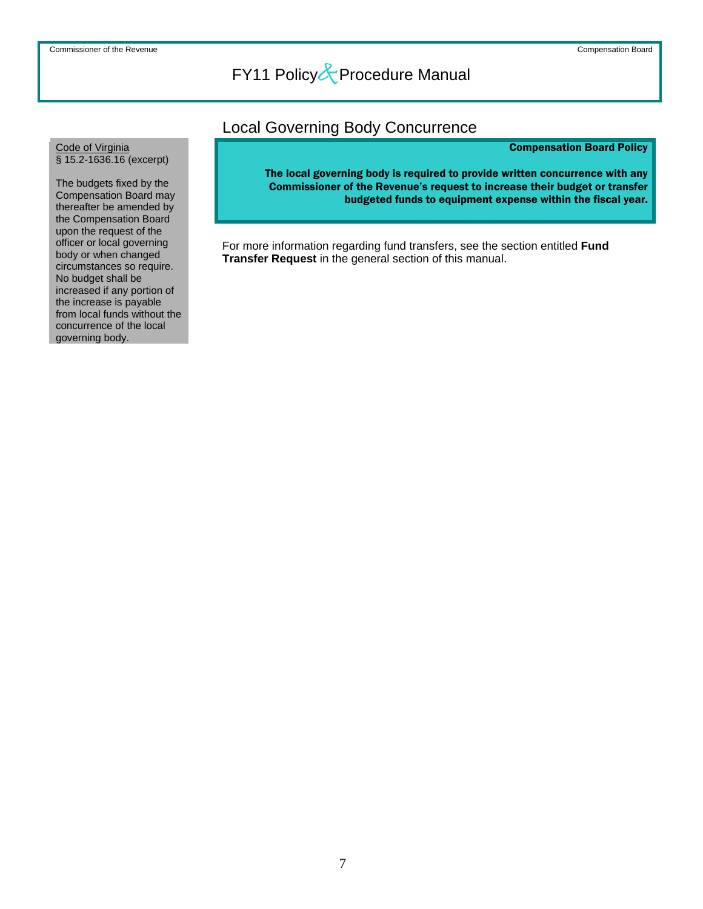### Local Governing Body Concurrence

### Compensation Board Policy

The local governing body is required to provide written concurrence with any Commissioner of the Revenue's request to increase their budget or transfer budgeted funds to equipment expense within the fiscal year.

For more information regarding fund transfers, see the section entitled **Fund Transfer Request** in the general section of this manual.

### Code of Virginia § 15.2-1636.16 (excerpt)

The budgets fixed by the Compensation Board may thereafter be amended by the Compensation Board upon the request of the officer or local governing body or when changed circumstances so require. No budget shall be increased if any portion of the increase is payable from local funds without the concurrence of the local governing body.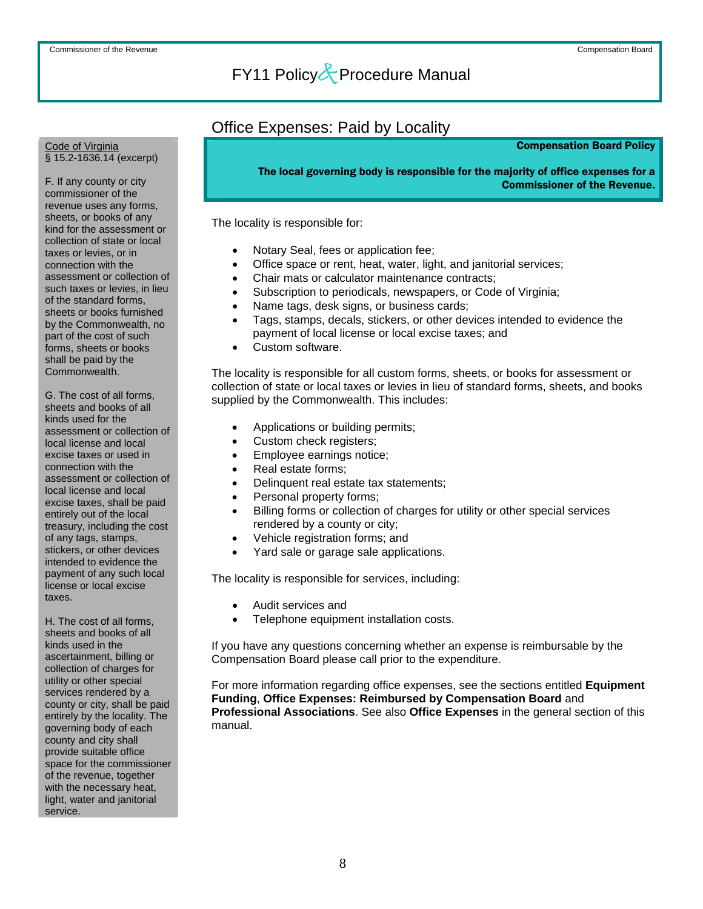### Office Expenses: Paid by Locality

### Compensation Board Policy

The local governing body is responsible for the majority of office expenses for a Commissioner of the Revenue.

The locality is responsible for:

- Notary Seal, fees or application fee;
- Office space or rent, heat, water, light, and janitorial services;
- Chair mats or calculator maintenance contracts;
- Subscription to periodicals, newspapers, or Code of Virginia;
- Name tags, desk signs, or business cards;
- Tags, stamps, decals, stickers, or other devices intended to evidence the payment of local license or local excise taxes; and
- Custom software.

The locality is responsible for all custom forms, sheets, or books for assessment or collection of state or local taxes or levies in lieu of standard forms, sheets, and books supplied by the Commonwealth. This includes:

- Applications or building permits;
- Custom check registers;
- Employee earnings notice;
- Real estate forms:
- Delinquent real estate tax statements;
- Personal property forms;
- Billing forms or collection of charges for utility or other special services rendered by a county or city;
- Vehicle registration forms; and
- Yard sale or garage sale applications.

The locality is responsible for services, including:

- Audit services and
- Telephone equipment installation costs.

If you have any questions concerning whether an expense is reimbursable by the Compensation Board please call prior to the expenditure.

For more information regarding office expenses, see the sections entitled **Equipment Funding**, **Office Expenses: Reimbursed by Compensation Board** and **Professional Associations**. See also **Office Expenses** in the general section of this manual.

#### Code of Virginia § 15.2-1636.14 (excerpt)

F. If any county or city commissioner of the revenue uses any forms, sheets, or books of any kind for the assessment or collection of state or local taxes or levies, or in connection with the assessment or collection of such taxes or levies, in lieu of the standard forms, sheets or books furnished by the Commonwealth, no part of the cost of such forms, sheets or books shall be paid by the Commonwealth.

G. The cost of all forms, sheets and books of all kinds used for the assessment or collection of local license and local excise taxes or used in connection with the assessment or collection of local license and local excise taxes, shall be paid entirely out of the local treasury, including the cost of any tags, stamps, stickers, or other devices intended to evidence the payment of any such local license or local excise taxes.

H. The cost of all forms, sheets and books of all kinds used in the ascertainment, billing or collection of charges for utility or other special services rendered by a county or city, shall be paid entirely by the locality. The governing body of each county and city shall provide suitable office space for the commissioner of the revenue, together with the necessary heat, light, water and janitorial service.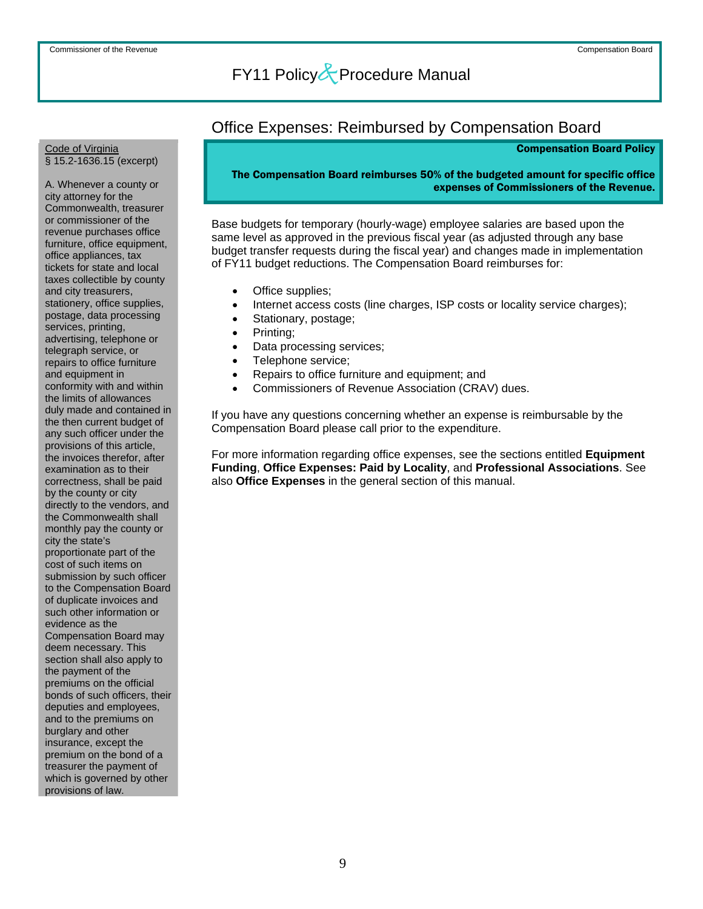### Office Expenses: Reimbursed by Compensation Board

#### Compensation Board Policy

### The Compensation Board reimburses 50% of the budgeted amount for specific office expenses of Commissioners of the Revenue.

Base budgets for temporary (hourly-wage) employee salaries are based upon the same level as approved in the previous fiscal year (as adjusted through any base budget transfer requests during the fiscal year) and changes made in implementation of FY11 budget reductions. The Compensation Board reimburses for:

- Office supplies;
- Internet access costs (line charges, ISP costs or locality service charges);
- Stationary, postage;
- Printing;
- Data processing services;
- Telephone service;
- Repairs to office furniture and equipment; and
- Commissioners of Revenue Association (CRAV) dues.

If you have any questions concerning whether an expense is reimbursable by the Compensation Board please call prior to the expenditure.

For more information regarding office expenses, see the sections entitled **Equipment Funding**, **Office Expenses: Paid by Locality**, and **Professional Associations**. See also **Office Expenses** in the general section of this manual.

#### Code of Virginia § 15.2-1636.15 (excerpt)

A. Whenever a county or city attorney for the Commonwealth, treasurer or commissioner of the revenue purchases office furniture, office equipment, office appliances, tax tickets for state and local taxes collectible by county and city treasurers, stationery, office supplies, postage, data processing services, printing, advertising, telephone or telegraph service, or repairs to office furniture and equipment in conformity with and within the limits of allowances duly made and contained in the then current budget of any such officer under the provisions of this article, the invoices therefor, after examination as to their correctness, shall be paid by the county or city directly to the vendors, and the Commonwealth shall monthly pay the county or city the state's proportionate part of the cost of such items on submission by such officer to the Compensation Board of duplicate invoices and such other information or evidence as the Compensation Board may deem necessary. This section shall also apply to the payment of the premiums on the official bonds of such officers, their deputies and employees, and to the premiums on burglary and other insurance, except the premium on the bond of a treasurer the payment of which is governed by other

provisions of law.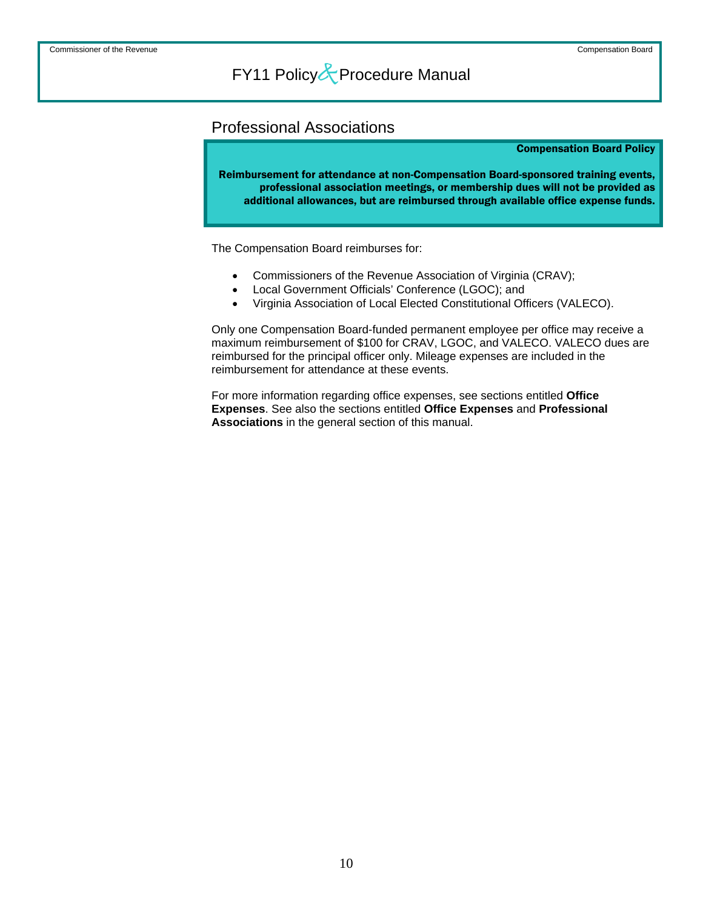### Professional Associations

#### Compensation Board Policy

Reimbursement for attendance at non-Compensation Board-sponsored training events, professional association meetings, or membership dues will not be provided as additional allowances, but are reimbursed through available office expense funds.

The Compensation Board reimburses for:

- Commissioners of the Revenue Association of Virginia (CRAV);
- Local Government Officials' Conference (LGOC); and
- Virginia Association of Local Elected Constitutional Officers (VALECO).

Only one Compensation Board-funded permanent employee per office may receive a maximum reimbursement of \$100 for CRAV, LGOC, and VALECO. VALECO dues are reimbursed for the principal officer only. Mileage expenses are included in the reimbursement for attendance at these events.

For more information regarding office expenses, see sections entitled **Office Expenses**. See also the sections entitled **Office Expenses** and **Professional Associations** in the general section of this manual.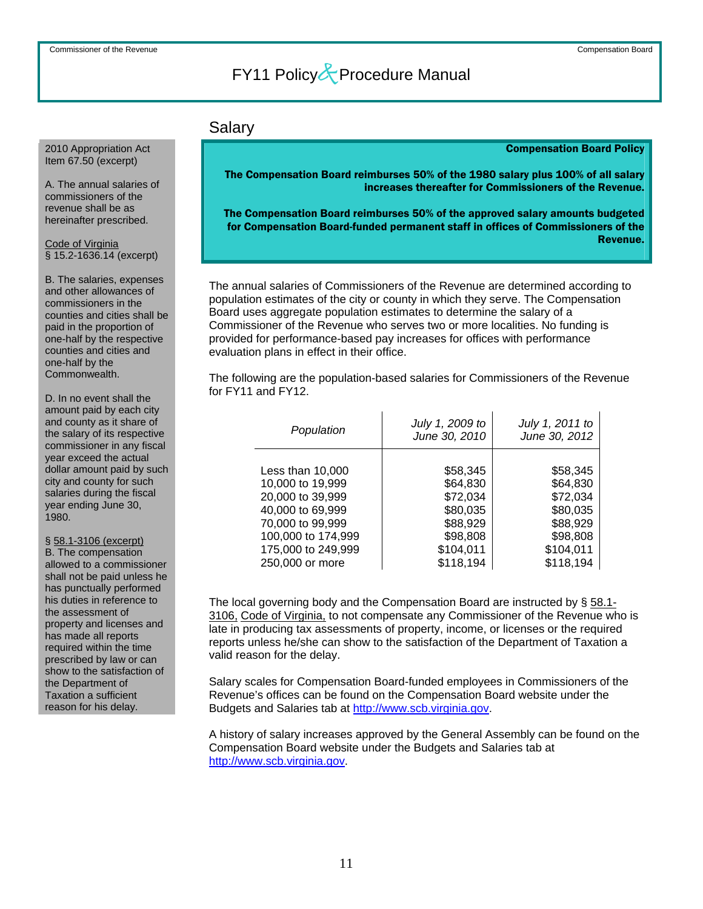### Salary

### Compensation Board Policy

The Compensation Board reimburses 50% of the 1980 salary plus 100% of all salary increases thereafter for Commissioners of the Revenue.

 The Compensation Board reimburses 50% of the approved salary amounts budgeted for Compensation Board-funded permanent staff in offices of Commissioners of the Revenue.

The annual salaries of Commissioners of the Revenue are determined according to population estimates of the city or county in which they serve. The Compensation Board uses aggregate population estimates to determine the salary of a Commissioner of the Revenue who serves two or more localities. No funding is provided for performance-based pay increases for offices with performance evaluation plans in effect in their office.

The following are the population-based salaries for Commissioners of the Revenue for FY11 and FY12.

| Population         | July 1, 2009 to<br>June 30, 2010 | July 1, 2011 to<br>June 30, 2012 |
|--------------------|----------------------------------|----------------------------------|
| Less than 10,000   | \$58,345                         | \$58,345                         |
| 10,000 to 19,999   | \$64,830                         | \$64,830                         |
| 20,000 to 39,999   | \$72,034                         | \$72,034                         |
| 40,000 to 69,999   | \$80,035                         | \$80,035                         |
| 70,000 to 99,999   | \$88,929                         | \$88,929                         |
| 100,000 to 174,999 | \$98,808                         | \$98,808                         |
| 175,000 to 249,999 | \$104,011                        | \$104,011                        |
| 250,000 or more    | \$118,194                        | \$118,194                        |

The local governing body and the Compensation Board are instructed by § 58.1- 3106, Code of Virginia, to not compensate any Commissioner of the Revenue who is late in producing tax assessments of property, income, or licenses or the required reports unless he/she can show to the satisfaction of the Department of Taxation a valid reason for the delay.

Salary scales for Compensation Board-funded employees in Commissioners of the Revenue's offices can be found on the Compensation Board website under the Budgets and Salaries tab at [http://www.scb.virginia.gov](http://www.scb.virginia.gov/).

A history of salary increases approved by the General Assembly can be found on the Compensation Board website under the Budgets and Salaries tab at [http://www.scb.virginia.gov](http://www.scb.virginia.gov/).

### 2010 Appropriation Act Item 67.50 (excerpt)

A. The annual salaries of commissioners of the revenue shall be as hereinafter prescribed.

Code of Virginia § 15.2-1636.14 (excerpt)

B. The salaries, expenses and other allowances of commissioners in the counties and cities shall be paid in the proportion of one-half by the respective counties and cities and one-half by the Commonwealth.

D. In no event shall the amount paid by each city and county as it share of the salary of its respective commissioner in any fiscal year exceed the actual dollar amount paid by such city and county for such salaries during the fiscal year ending June 30, 1980.

### § 58.1-3106 (excerpt)

B. The compensation allowed to a commissioner shall not be paid unless he has punctually performed his duties in reference to the assessment of property and licenses and has made all reports required within the time prescribed by law or can show to the satisfaction of the Department of Taxation a sufficient reason for his delay.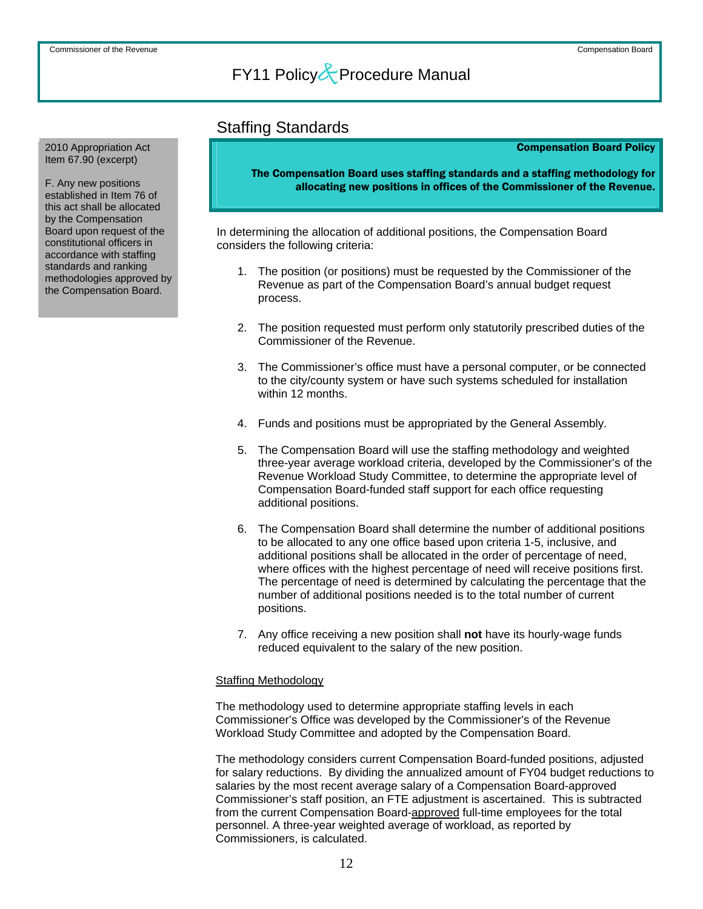### Staffing Standards

#### Compensation Board Policy

The Compensation Board uses staffing standards and a staffing methodology for allocating new positions in offices of the Commissioner of the Revenue.

In determining the allocation of additional positions, the Compensation Board considers the following criteria:

- 1. The position (or positions) must be requested by the Commissioner of the Revenue as part of the Compensation Board's annual budget request process.
- 2. The position requested must perform only statutorily prescribed duties of the Commissioner of the Revenue.
- 3. The Commissioner's office must have a personal computer, or be connected to the city/county system or have such systems scheduled for installation within 12 months.
- 4. Funds and positions must be appropriated by the General Assembly.
- 5. The Compensation Board will use the staffing methodology and weighted three-year average workload criteria, developed by the Commissioner's of the Revenue Workload Study Committee, to determine the appropriate level of Compensation Board-funded staff support for each office requesting additional positions.
- 6. The Compensation Board shall determine the number of additional positions to be allocated to any one office based upon criteria 1-5, inclusive, and additional positions shall be allocated in the order of percentage of need, where offices with the highest percentage of need will receive positions first. The percentage of need is determined by calculating the percentage that the number of additional positions needed is to the total number of current positions.
- 7. Any office receiving a new position shall **not** have its hourly-wage funds reduced equivalent to the salary of the new position.

### Staffing Methodology

The methodology used to determine appropriate staffing levels in each Commissioner's Office was developed by the Commissioner's of the Revenue Workload Study Committee and adopted by the Compensation Board.

The methodology considers current Compensation Board-funded positions, adjusted for salary reductions. By dividing the annualized amount of FY04 budget reductions to salaries by the most recent average salary of a Compensation Board-approved Commissioner's staff position, an FTE adjustment is ascertained. This is subtracted from the current Compensation Board-approved full-time employees for the total personnel. A three-year weighted average of workload, as reported by Commissioners, is calculated.

2010 Appropriation Act Item 67.90 (excerpt)

F. Any new positions established in Item 76 of this act shall be allocated by the Compensation Board upon request of the constitutional officers in accordance with staffing standards and ranking methodologies approved by the Compensation Board.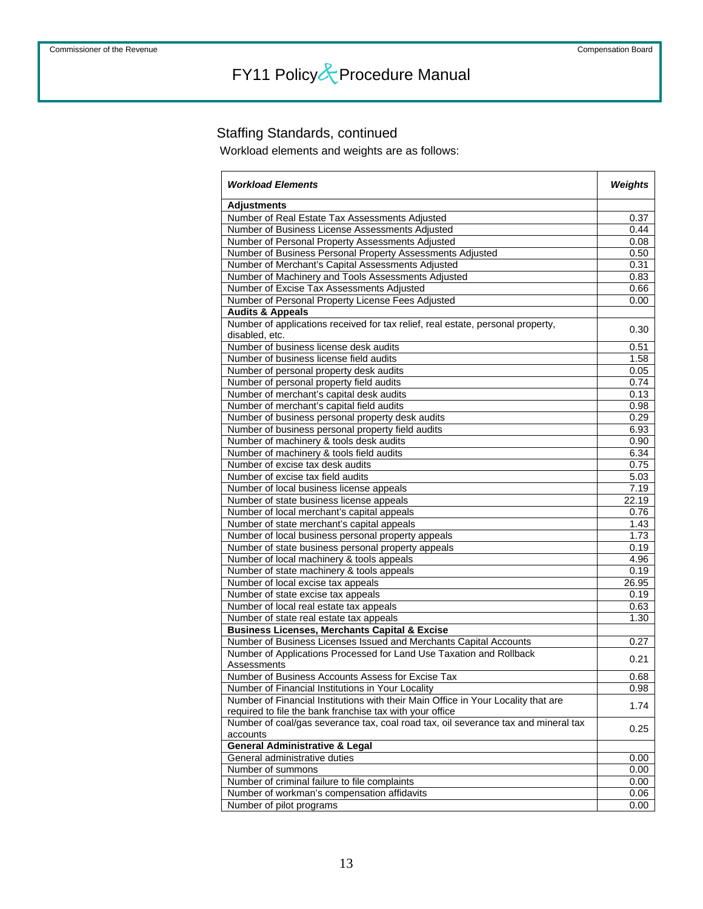### Staffing Standards, continued

Workload elements and weights are as follows:

| <b>Workload Elements</b>                                                                          | Weights |
|---------------------------------------------------------------------------------------------------|---------|
| <b>Adjustments</b>                                                                                |         |
| Number of Real Estate Tax Assessments Adjusted                                                    | 0.37    |
| Number of Business License Assessments Adjusted                                                   | 0.44    |
| Number of Personal Property Assessments Adjusted                                                  | 0.08    |
| Number of Business Personal Property Assessments Adjusted                                         | 0.50    |
| Number of Merchant's Capital Assessments Adjusted                                                 | 0.31    |
| Number of Machinery and Tools Assessments Adjusted                                                | 0.83    |
| Number of Excise Tax Assessments Adjusted                                                         | 0.66    |
| Number of Personal Property License Fees Adjusted                                                 | 0.00    |
| <b>Audits &amp; Appeals</b>                                                                       |         |
| Number of applications received for tax relief, real estate, personal property,<br>disabled, etc. | 0.30    |
| Number of business license desk audits                                                            | 0.51    |
| Number of business license field audits                                                           | 1.58    |
| Number of personal property desk audits                                                           | 0.05    |
| Number of personal property field audits                                                          | 0.74    |
| Number of merchant's capital desk audits                                                          | 0.13    |
| Number of merchant's capital field audits                                                         | 0.98    |
| Number of business personal property desk audits                                                  | 0.29    |
| Number of business personal property field audits                                                 | 6.93    |
| Number of machinery & tools desk audits                                                           | 0.90    |
| Number of machinery & tools field audits                                                          | 6.34    |
| Number of excise tax desk audits                                                                  | 0.75    |
| Number of excise tax field audits                                                                 | 5.03    |
| Number of local business license appeals                                                          | 7.19    |
| Number of state business license appeals                                                          | 22.19   |
| Number of local merchant's capital appeals                                                        | 0.76    |
| Number of state merchant's capital appeals                                                        | 1.43    |
| Number of local business personal property appeals                                                | 1.73    |
| Number of state business personal property appeals                                                | 0.19    |
| Number of local machinery & tools appeals                                                         | 4.96    |
| Number of state machinery & tools appeals                                                         | 0.19    |
| Number of local excise tax appeals                                                                | 26.95   |
| Number of state excise tax appeals                                                                | 0.19    |
| Number of local real estate tax appeals                                                           | 0.63    |
| Number of state real estate tax appeals                                                           | 1.30    |
| <b>Business Licenses, Merchants Capital &amp; Excise</b>                                          |         |
| Number of Business Licenses Issued and Merchants Capital Accounts                                 | 0.27    |
| Number of Applications Processed for Land Use Taxation and Rollback<br>Assessments                | 0.21    |
| Number of Business Accounts Assess for Excise Tax                                                 | 0.68    |
| Number of Financial Institutions in Your Locality                                                 | 0.98    |
| Number of Financial Institutions with their Main Office in Your Locality that are                 | 1.74    |
| required to file the bank franchise tax with your office                                          |         |
| Number of coal/gas severance tax, coal road tax, oil severance tax and mineral tax<br>accounts    | 0.25    |
| <b>General Administrative &amp; Legal</b>                                                         |         |
| General administrative duties                                                                     | 0.00    |
| Number of summons                                                                                 | 0.00    |
| Number of criminal failure to file complaints                                                     | 0.00    |
| Number of workman's compensation affidavits                                                       | 0.06    |
| Number of pilot programs                                                                          | 0.00    |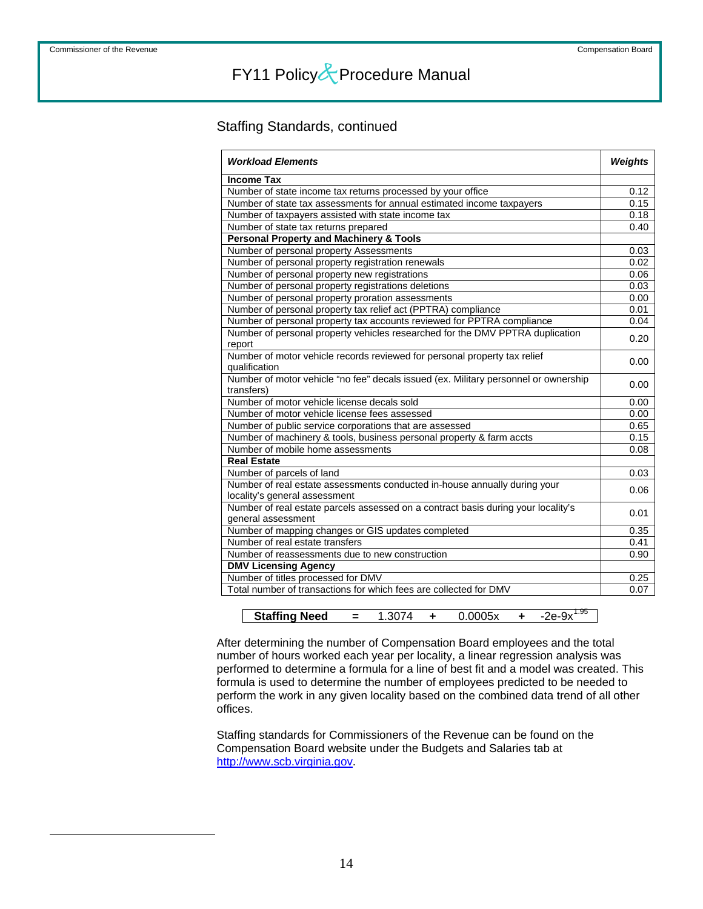<span id="page-14-0"></span> $\overline{a}$ 

# FY11 Policy&Procedure Manual

### Staffing Standards, continued

| <b>Workload Elements</b>                                                                                   | <b>Weights</b> |
|------------------------------------------------------------------------------------------------------------|----------------|
| <b>Income Tax</b>                                                                                          |                |
| Number of state income tax returns processed by your office                                                | 0.12           |
| Number of state tax assessments for annual estimated income taxpayers                                      | 0.15           |
| Number of taxpayers assisted with state income tax                                                         | 0.18           |
| Number of state tax returns prepared                                                                       | 0.40           |
| <b>Personal Property and Machinery &amp; Tools</b>                                                         |                |
| Number of personal property Assessments                                                                    | 0.03           |
| Number of personal property registration renewals                                                          | 0.02           |
| Number of personal property new registrations                                                              | 0.06           |
| Number of personal property registrations deletions                                                        | 0.03           |
| Number of personal property proration assessments                                                          | 0.00           |
| Number of personal property tax relief act (PPTRA) compliance                                              | 0.01           |
| Number of personal property tax accounts reviewed for PPTRA compliance                                     | 0.04           |
| Number of personal property vehicles researched for the DMV PPTRA duplication<br>report                    | 0.20           |
| Number of motor vehicle records reviewed for personal property tax relief<br>qualification                 | 0.00           |
| Number of motor vehicle "no fee" decals issued (ex. Military personnel or ownership<br>transfers)          | 0.00           |
| Number of motor vehicle license decals sold                                                                | 0.00           |
| Number of motor vehicle license fees assessed                                                              | 0.00           |
| Number of public service corporations that are assessed                                                    | 0.65           |
| Number of machinery & tools, business personal property & farm accts                                       | 0.15           |
| Number of mobile home assessments                                                                          | 0.08           |
| <b>Real Estate</b>                                                                                         |                |
| Number of parcels of land                                                                                  | 0.03           |
| Number of real estate assessments conducted in-house annually during your<br>locality's general assessment | 0.06           |
| Number of real estate parcels assessed on a contract basis during your locality's                          |                |
| general assessment                                                                                         | 0.01           |
| Number of mapping changes or GIS updates completed                                                         | 0.35           |
| Number of real estate transfers                                                                            | 0.41           |
| Number of reassessments due to new construction                                                            | 0.90           |
| <b>DMV Licensing Agency</b>                                                                                |                |
| Number of titles processed for DMV                                                                         | 0.25           |
| Total number of transactions for which fees are collected for DMV                                          | 0.07           |
|                                                                                                            |                |

| <b>Staffing Need</b> |  |  |  |
|----------------------|--|--|--|

After determining the number of Compensation Board employees and the total number of hours worked each year per locality, a linear regression analysis was performed to determine a formula for a line of best fit and a model was created. This formula is used to determine the number of employees predicted to be needed to perform the work in any given locality based on the combined data trend of all other offices.

Staffing standards for Commissioners of the Revenue can be found on the Compensation Board website under the Budgets and Salaries tab at [http://www.scb.virginia.gov](http://www.scb.virginia.gov/).